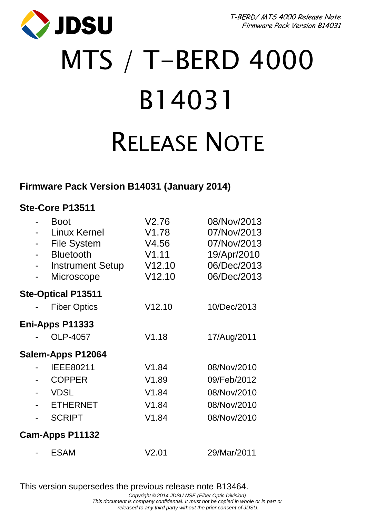T-BERD/ MTS 4000 Release Note Firmware Pack Version B14031



# MTS / T-BERD 4000 B14031 RELEASE NOTE

### **Firmware Pack Version B14031 (January 2014)**

#### **Ste-Core P13511**

|                   |  | <b>Boot</b><br>Linux Kernel<br><b>File System</b><br><b>Bluetooth</b><br><b>Instrument Setup</b><br>Microscope | V2.76<br>V1.78<br>V4.56<br>V1.11<br>V12.10<br>V12.10 | 08/Nov/2013<br>07/Nov/2013<br>07/Nov/2013<br>19/Apr/2010<br>06/Dec/2013<br>06/Dec/2013 |  |
|-------------------|--|----------------------------------------------------------------------------------------------------------------|------------------------------------------------------|----------------------------------------------------------------------------------------|--|
|                   |  | <b>Ste-Optical P13511</b>                                                                                      |                                                      |                                                                                        |  |
|                   |  | <b>Fiber Optics</b>                                                                                            | V12.10                                               | 10/Dec/2013                                                                            |  |
| Eni-Apps P11333   |  |                                                                                                                |                                                      |                                                                                        |  |
|                   |  | OLP-4057                                                                                                       | V1.18                                                | 17/Aug/2011                                                                            |  |
| Salem-Apps P12064 |  |                                                                                                                |                                                      |                                                                                        |  |
|                   |  | IEEE80211                                                                                                      | V1.84                                                | 08/Nov/2010                                                                            |  |
|                   |  | <b>COPPER</b>                                                                                                  | V1.89                                                | 09/Feb/2012                                                                            |  |
|                   |  | <b>VDSL</b>                                                                                                    | V1.84                                                | 08/Nov/2010                                                                            |  |
|                   |  | <b>ETHERNET</b>                                                                                                | V1.84                                                | 08/Nov/2010                                                                            |  |
|                   |  | <b>SCRIPT</b>                                                                                                  | V1.84                                                | 08/Nov/2010                                                                            |  |
| Cam-Apps P11132   |  |                                                                                                                |                                                      |                                                                                        |  |
|                   |  | <b>ESAM</b>                                                                                                    | V2.01                                                | 29/Mar/2011                                                                            |  |

This version supersedes the previous release note B13464.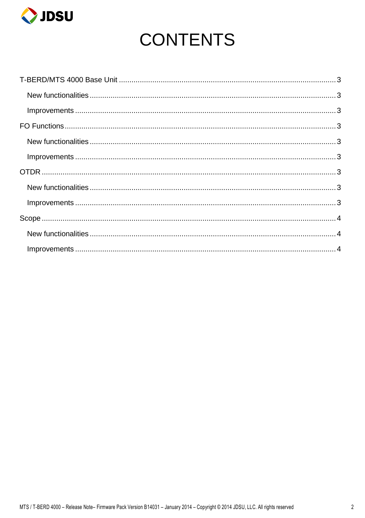

# **CONTENTS**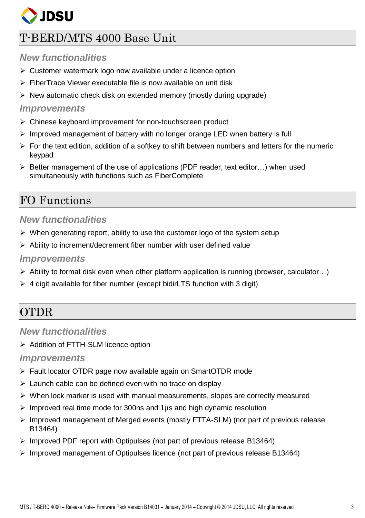

# <span id="page-2-0"></span>T-BERD/MTS 4000 Base Unit

#### <span id="page-2-1"></span>*New functionalities*

- $\triangleright$  Customer watermark logo now available under a licence option
- $\triangleright$  FiberTrace Viewer executable file is now available on unit disk
- $\triangleright$  New automatic check disk on extended memory (mostly during upgrade)

#### <span id="page-2-2"></span>*Improvements*

- Chinese keyboard improvement for non-touchscreen product
- $\triangleright$  Improved management of battery with no longer orange LED when battery is full
- $\triangleright$  For the text edition, addition of a softkey to shift between numbers and letters for the numeric keypad
- $\triangleright$  Better management of the use of applications (PDF reader, text editor...) when used simultaneously with functions such as FiberComplete

## <span id="page-2-3"></span>FO Functions

#### <span id="page-2-4"></span>*New functionalities*

- $\triangleright$  When generating report, ability to use the customer logo of the system setup
- $\triangleright$  Ability to increment/decrement fiber number with user defined value

#### <span id="page-2-5"></span>*Improvements*

- $\triangleright$  Ability to format disk even when other platform application is running (browser, calculator...)
- $\geq 4$  digit available for fiber number (except bidirLTS function with 3 digit)

# <span id="page-2-6"></span>**OTDR**

#### <span id="page-2-7"></span>*New functionalities*

> Addition of FTTH-SLM licence option

#### <span id="page-2-8"></span>*Improvements*

- Fault locator OTDR page now available again on SmartOTDR mode
- $\triangleright$  Launch cable can be defined even with no trace on display
- $\triangleright$  When lock marker is used with manual measurements, slopes are correctly measured
- $\triangleright$  Improved real time mode for 300ns and 1 us and high dynamic resolution
- $\triangleright$  Improved management of Merged events (mostly FTTA-SLM) (not part of previous release B13464)
- Improved PDF report with Optipulses (not part of previous release B13464)
- $\triangleright$  Improved management of Optipulses licence (not part of previous release B13464)